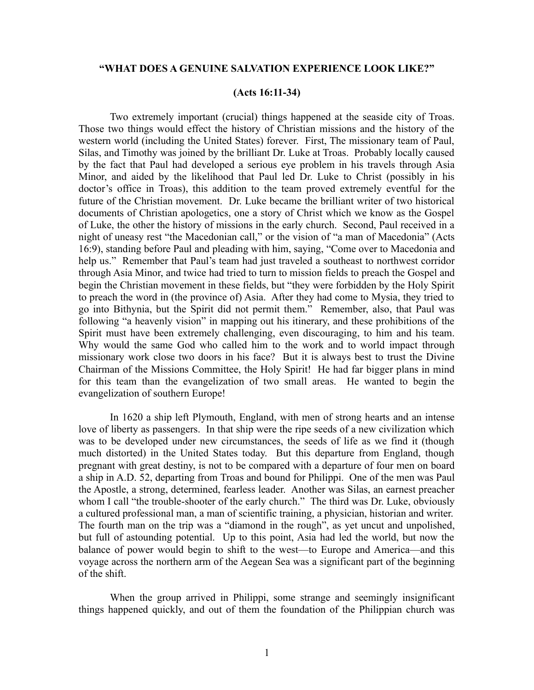### **"WHAT DOES A GENUINE SALVATION EXPERIENCE LOOK LIKE?"**

#### **(Acts 16:11-34)**

Two extremely important (crucial) things happened at the seaside city of Troas. Those two things would effect the history of Christian missions and the history of the western world (including the United States) forever. First, The missionary team of Paul, Silas, and Timothy was joined by the brilliant Dr. Luke at Troas. Probably locally caused by the fact that Paul had developed a serious eye problem in his travels through Asia Minor, and aided by the likelihood that Paul led Dr. Luke to Christ (possibly in his doctor's office in Troas), this addition to the team proved extremely eventful for the future of the Christian movement. Dr. Luke became the brilliant writer of two historical documents of Christian apologetics, one a story of Christ which we know as the Gospel of Luke, the other the history of missions in the early church. Second, Paul received in a night of uneasy rest "the Macedonian call," or the vision of "a man of Macedonia" (Acts 16:9), standing before Paul and pleading with him, saying, "Come over to Macedonia and help us." Remember that Paul's team had just traveled a southeast to northwest corridor through Asia Minor, and twice had tried to turn to mission fields to preach the Gospel and begin the Christian movement in these fields, but "they were forbidden by the Holy Spirit to preach the word in (the province of) Asia. After they had come to Mysia, they tried to go into Bithynia, but the Spirit did not permit them." Remember, also, that Paul was following "a heavenly vision" in mapping out his itinerary, and these prohibitions of the Spirit must have been extremely challenging, even discouraging, to him and his team. Why would the same God who called him to the work and to world impact through missionary work close two doors in his face? But it is always best to trust the Divine Chairman of the Missions Committee, the Holy Spirit! He had far bigger plans in mind for this team than the evangelization of two small areas. He wanted to begin the evangelization of southern Europe!

In 1620 a ship left Plymouth, England, with men of strong hearts and an intense love of liberty as passengers. In that ship were the ripe seeds of a new civilization which was to be developed under new circumstances, the seeds of life as we find it (though much distorted) in the United States today. But this departure from England, though pregnant with great destiny, is not to be compared with a departure of four men on board a ship in A.D. 52, departing from Troas and bound for Philippi. One of the men was Paul the Apostle, a strong, determined, fearless leader. Another was Silas, an earnest preacher whom I call "the trouble-shooter of the early church." The third was Dr. Luke, obviously a cultured professional man, a man of scientific training, a physician, historian and writer. The fourth man on the trip was a "diamond in the rough", as yet uncut and unpolished, but full of astounding potential. Up to this point, Asia had led the world, but now the balance of power would begin to shift to the west—to Europe and America—and this voyage across the northern arm of the Aegean Sea was a significant part of the beginning of the shift.

When the group arrived in Philippi, some strange and seemingly insignificant things happened quickly, and out of them the foundation of the Philippian church was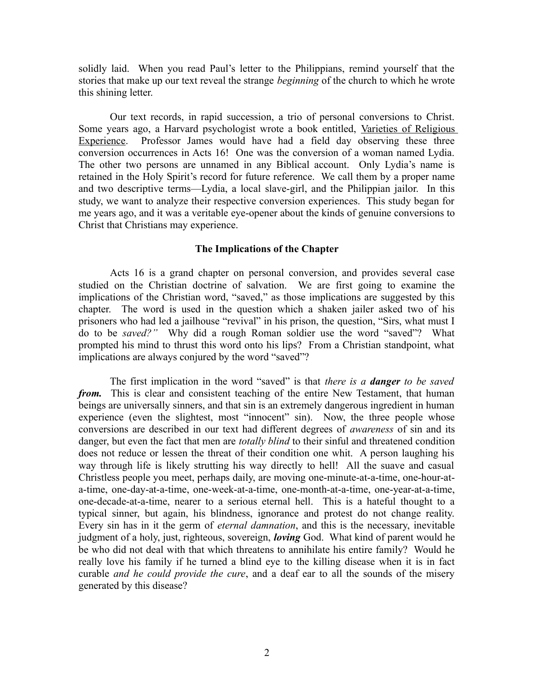solidly laid. When you read Paul's letter to the Philippians, remind yourself that the stories that make up our text reveal the strange *beginning* of the church to which he wrote this shining letter.

Our text records, in rapid succession, a trio of personal conversions to Christ. Some years ago, a Harvard psychologist wrote a book entitled, Varieties of Religious Experience. Professor James would have had a field day observing these three conversion occurrences in Acts 16! One was the conversion of a woman named Lydia. The other two persons are unnamed in any Biblical account. Only Lydia's name is retained in the Holy Spirit's record for future reference. We call them by a proper name and two descriptive terms—Lydia, a local slave-girl, and the Philippian jailor. In this study, we want to analyze their respective conversion experiences. This study began for me years ago, and it was a veritable eye-opener about the kinds of genuine conversions to Christ that Christians may experience.

## **The Implications of the Chapter**

Acts 16 is a grand chapter on personal conversion, and provides several case studied on the Christian doctrine of salvation. We are first going to examine the implications of the Christian word, "saved," as those implications are suggested by this chapter. The word is used in the question which a shaken jailer asked two of his prisoners who had led a jailhouse "revival" in his prison, the question, "Sirs, what must I do to be *saved?"* Why did a rough Roman soldier use the word "saved"? What prompted his mind to thrust this word onto his lips? From a Christian standpoint, what implications are always conjured by the word "saved"?

The first implication in the word "saved" is that *there is a danger to be saved from.* This is clear and consistent teaching of the entire New Testament, that human beings are universally sinners, and that sin is an extremely dangerous ingredient in human experience (even the slightest, most "innocent" sin). Now, the three people whose conversions are described in our text had different degrees of *awareness* of sin and its danger, but even the fact that men are *totally blind* to their sinful and threatened condition does not reduce or lessen the threat of their condition one whit. A person laughing his way through life is likely strutting his way directly to hell! All the suave and casual Christless people you meet, perhaps daily, are moving one-minute-at-a-time, one-hour-ata-time, one-day-at-a-time, one-week-at-a-time, one-month-at-a-time, one-year-at-a-time, one-decade-at-a-time, nearer to a serious eternal hell. This is a hateful thought to a typical sinner, but again, his blindness, ignorance and protest do not change reality. Every sin has in it the germ of *eternal damnation*, and this is the necessary, inevitable judgment of a holy, just, righteous, sovereign, *loving* God. What kind of parent would he be who did not deal with that which threatens to annihilate his entire family? Would he really love his family if he turned a blind eye to the killing disease when it is in fact curable *and he could provide the cure*, and a deaf ear to all the sounds of the misery generated by this disease?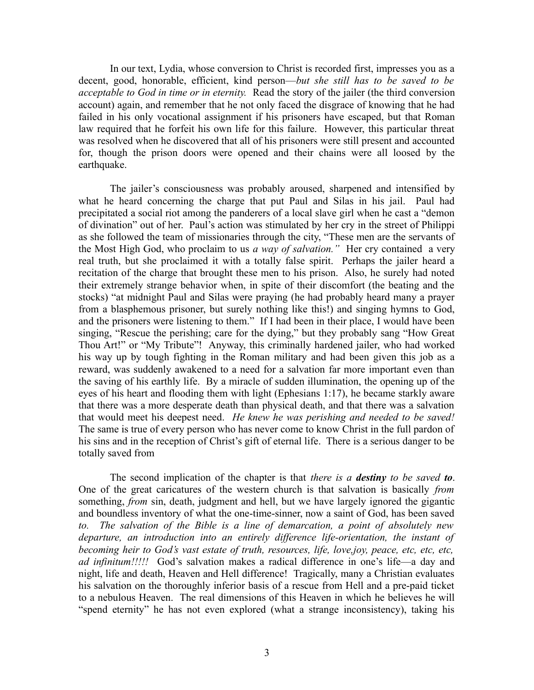In our text, Lydia, whose conversion to Christ is recorded first, impresses you as a decent, good, honorable, efficient, kind person—*but she still has to be saved to be acceptable to God in time or in eternity.* Read the story of the jailer (the third conversion account) again, and remember that he not only faced the disgrace of knowing that he had failed in his only vocational assignment if his prisoners have escaped, but that Roman law required that he forfeit his own life for this failure. However, this particular threat was resolved when he discovered that all of his prisoners were still present and accounted for, though the prison doors were opened and their chains were all loosed by the earthquake.

The jailer's consciousness was probably aroused, sharpened and intensified by what he heard concerning the charge that put Paul and Silas in his jail. Paul had precipitated a social riot among the panderers of a local slave girl when he cast a "demon of divination" out of her. Paul's action was stimulated by her cry in the street of Philippi as she followed the team of missionaries through the city, "These men are the servants of the Most High God, who proclaim to us *a way of salvation."* Her cry contained a very real truth, but she proclaimed it with a totally false spirit. Perhaps the jailer heard a recitation of the charge that brought these men to his prison. Also, he surely had noted their extremely strange behavior when, in spite of their discomfort (the beating and the stocks) "at midnight Paul and Silas were praying (he had probably heard many a prayer from a blasphemous prisoner, but surely nothing like this!) and singing hymns to God, and the prisoners were listening to them." If I had been in their place, I would have been singing, "Rescue the perishing; care for the dying," but they probably sang "How Great Thou Art!" or "My Tribute"! Anyway, this criminally hardened jailer, who had worked his way up by tough fighting in the Roman military and had been given this job as a reward, was suddenly awakened to a need for a salvation far more important even than the saving of his earthly life. By a miracle of sudden illumination, the opening up of the eyes of his heart and flooding them with light (Ephesians 1:17), he became starkly aware that there was a more desperate death than physical death, and that there was a salvation that would meet his deepest need. *He knew he was perishing and needed to be saved!* The same is true of every person who has never come to know Christ in the full pardon of his sins and in the reception of Christ's gift of eternal life. There is a serious danger to be totally saved from

The second implication of the chapter is that *there is a destiny to be saved to*. One of the great caricatures of the western church is that salvation is basically *from* something, *from* sin, death, judgment and hell, but we have largely ignored the gigantic and boundless inventory of what the one-time-sinner, now a saint of God, has been saved *to. The salvation of the Bible is a line of demarcation, a point of absolutely new departure, an introduction into an entirely difference life-orientation, the instant of becoming heir to God's vast estate of truth, resources, life, love,joy, peace, etc, etc, etc, ad infinitum!!!!!* God's salvation makes a radical difference in one's life—a day and night, life and death, Heaven and Hell difference! Tragically, many a Christian evaluates his salvation on the thoroughly inferior basis of a rescue from Hell and a pre-paid ticket to a nebulous Heaven. The real dimensions of this Heaven in which he believes he will "spend eternity" he has not even explored (what a strange inconsistency), taking his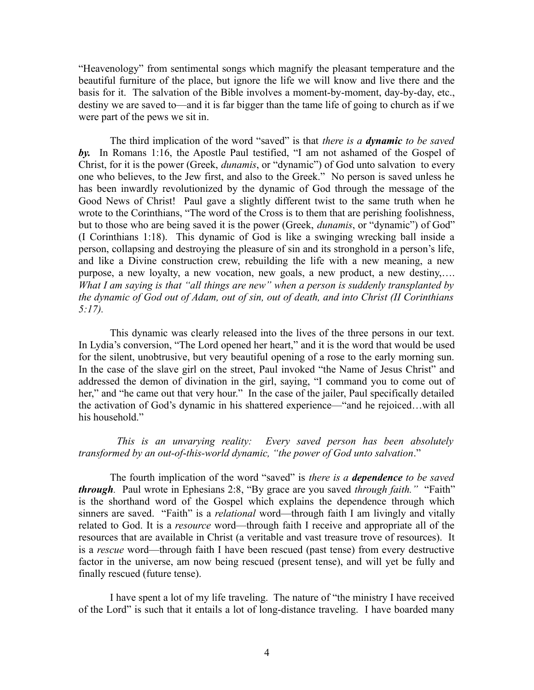"Heavenology" from sentimental songs which magnify the pleasant temperature and the beautiful furniture of the place, but ignore the life we will know and live there and the basis for it. The salvation of the Bible involves a moment-by-moment, day-by-day, etc., destiny we are saved to—and it is far bigger than the tame life of going to church as if we were part of the pews we sit in.

The third implication of the word "saved" is that *there is a dynamic to be saved by.* In Romans 1:16, the Apostle Paul testified, "I am not ashamed of the Gospel of Christ, for it is the power (Greek, *dunamis*, or "dynamic") of God unto salvation to every one who believes, to the Jew first, and also to the Greek." No person is saved unless he has been inwardly revolutionized by the dynamic of God through the message of the Good News of Christ! Paul gave a slightly different twist to the same truth when he wrote to the Corinthians, "The word of the Cross is to them that are perishing foolishness, but to those who are being saved it is the power (Greek, *dunamis*, or "dynamic") of God" (I Corinthians 1:18). This dynamic of God is like a swinging wrecking ball inside a person, collapsing and destroying the pleasure of sin and its stronghold in a person's life, and like a Divine construction crew, rebuilding the life with a new meaning, a new purpose, a new loyalty, a new vocation, new goals, a new product, a new destiny,…. *What I am saying is that "all things are new" when a person is suddenly transplanted by the dynamic of God out of Adam, out of sin, out of death, and into Christ (II Corinthians 5:17).* 

This dynamic was clearly released into the lives of the three persons in our text. In Lydia's conversion, "The Lord opened her heart," and it is the word that would be used for the silent, unobtrusive, but very beautiful opening of a rose to the early morning sun. In the case of the slave girl on the street, Paul invoked "the Name of Jesus Christ" and addressed the demon of divination in the girl, saying, "I command you to come out of her," and "he came out that very hour." In the case of the jailer, Paul specifically detailed the activation of God's dynamic in his shattered experience—"and he rejoiced…with all his household."

# *This is an unvarying reality: Every saved person has been absolutely transformed by an out-of*-*this-world dynamic, "the power of God unto salvation*."

The fourth implication of the word "saved" is *there is a dependence to be saved through.* Paul wrote in Ephesians 2:8, "By grace are you saved *through faith."* "Faith" is the shorthand word of the Gospel which explains the dependence through which sinners are saved. "Faith" is a *relational* word—through faith I am livingly and vitally related to God. It is a *resource* word—through faith I receive and appropriate all of the resources that are available in Christ (a veritable and vast treasure trove of resources). It is a *rescue* word—through faith I have been rescued (past tense) from every destructive factor in the universe, am now being rescued (present tense), and will yet be fully and finally rescued (future tense).

I have spent a lot of my life traveling. The nature of "the ministry I have received of the Lord" is such that it entails a lot of long-distance traveling. I have boarded many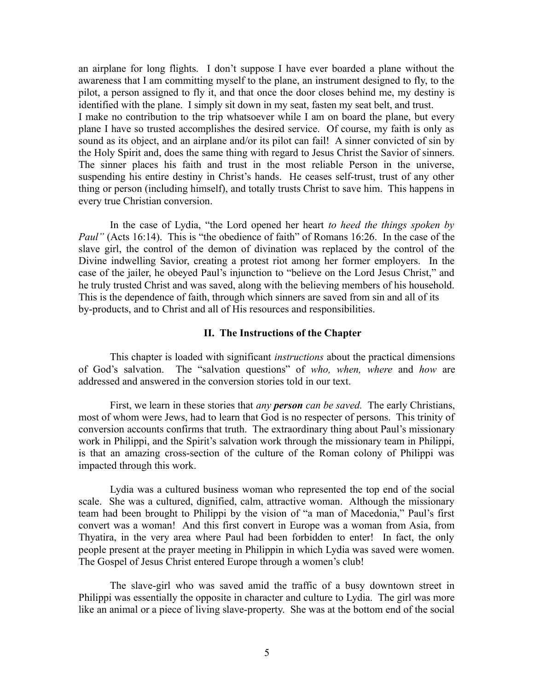an airplane for long flights. I don't suppose I have ever boarded a plane without the awareness that I am committing myself to the plane, an instrument designed to fly, to the pilot, a person assigned to fly it, and that once the door closes behind me, my destiny is identified with the plane. I simply sit down in my seat, fasten my seat belt, and trust. I make no contribution to the trip whatsoever while I am on board the plane, but every plane I have so trusted accomplishes the desired service. Of course, my faith is only as sound as its object, and an airplane and/or its pilot can fail! A sinner convicted of sin by the Holy Spirit and, does the same thing with regard to Jesus Christ the Savior of sinners. The sinner places his faith and trust in the most reliable Person in the universe, suspending his entire destiny in Christ's hands. He ceases self-trust, trust of any other thing or person (including himself), and totally trusts Christ to save him. This happens in every true Christian conversion.

In the case of Lydia, "the Lord opened her heart *to heed the things spoken by Paul"* (Acts 16:14). This is "the obedience of faith" of Romans 16:26. In the case of the slave girl, the control of the demon of divination was replaced by the control of the Divine indwelling Savior, creating a protest riot among her former employers. In the case of the jailer, he obeyed Paul's injunction to "believe on the Lord Jesus Christ," and he truly trusted Christ and was saved, along with the believing members of his household. This is the dependence of faith, through which sinners are saved from sin and all of its by-products, and to Christ and all of His resources and responsibilities.

### **II. The Instructions of the Chapter**

This chapter is loaded with significant *instructions* about the practical dimensions of God's salvation. The "salvation questions" of *who, when, where* and *how* are addressed and answered in the conversion stories told in our text.

First, we learn in these stories that *any person can be saved.* The early Christians, most of whom were Jews, had to learn that God is no respecter of persons. This trinity of conversion accounts confirms that truth. The extraordinary thing about Paul's missionary work in Philippi, and the Spirit's salvation work through the missionary team in Philippi, is that an amazing cross-section of the culture of the Roman colony of Philippi was impacted through this work.

Lydia was a cultured business woman who represented the top end of the social scale. She was a cultured, dignified, calm, attractive woman. Although the missionary team had been brought to Philippi by the vision of "a man of Macedonia," Paul's first convert was a woman! And this first convert in Europe was a woman from Asia, from Thyatira, in the very area where Paul had been forbidden to enter! In fact, the only people present at the prayer meeting in Philippin in which Lydia was saved were women. The Gospel of Jesus Christ entered Europe through a women's club!

The slave-girl who was saved amid the traffic of a busy downtown street in Philippi was essentially the opposite in character and culture to Lydia. The girl was more like an animal or a piece of living slave-property. She was at the bottom end of the social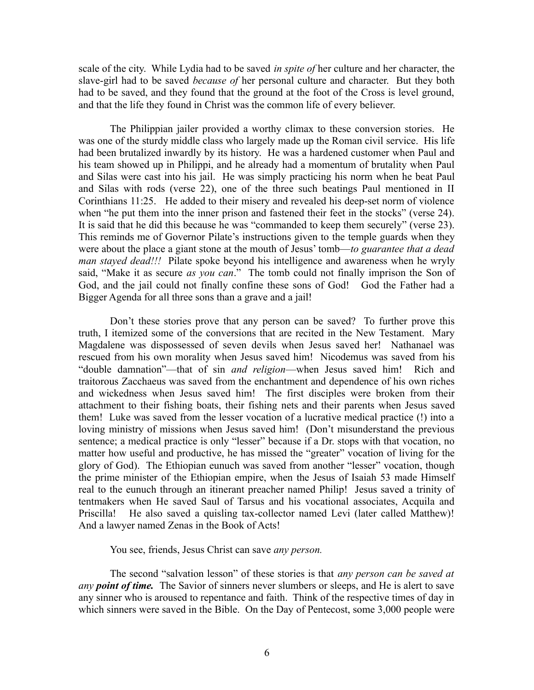scale of the city. While Lydia had to be saved *in spite of* her culture and her character, the slave-girl had to be saved *because of* her personal culture and character. But they both had to be saved, and they found that the ground at the foot of the Cross is level ground, and that the life they found in Christ was the common life of every believer.

The Philippian jailer provided a worthy climax to these conversion stories. He was one of the sturdy middle class who largely made up the Roman civil service. His life had been brutalized inwardly by its history. He was a hardened customer when Paul and his team showed up in Philippi, and he already had a momentum of brutality when Paul and Silas were cast into his jail. He was simply practicing his norm when he beat Paul and Silas with rods (verse 22), one of the three such beatings Paul mentioned in II Corinthians 11:25. He added to their misery and revealed his deep-set norm of violence when "he put them into the inner prison and fastened their feet in the stocks" (verse 24). It is said that he did this because he was "commanded to keep them securely" (verse 23). This reminds me of Governor Pilate's instructions given to the temple guards when they were about the place a giant stone at the mouth of Jesus' tomb—*to guarantee that a dead man stayed dead!!!* Pilate spoke beyond his intelligence and awareness when he wryly said, "Make it as secure *as you can*." The tomb could not finally imprison the Son of God, and the jail could not finally confine these sons of God! God the Father had a Bigger Agenda for all three sons than a grave and a jail!

Don't these stories prove that any person can be saved? To further prove this truth, I itemized some of the conversions that are recited in the New Testament. Mary Magdalene was dispossessed of seven devils when Jesus saved her! Nathanael was rescued from his own morality when Jesus saved him! Nicodemus was saved from his "double damnation"—that of sin *and religion*—when Jesus saved him! Rich and traitorous Zacchaeus was saved from the enchantment and dependence of his own riches and wickedness when Jesus saved him! The first disciples were broken from their attachment to their fishing boats, their fishing nets and their parents when Jesus saved them! Luke was saved from the lesser vocation of a lucrative medical practice (!) into a loving ministry of missions when Jesus saved him! (Don't misunderstand the previous sentence; a medical practice is only "lesser" because if a Dr. stops with that vocation, no matter how useful and productive, he has missed the "greater" vocation of living for the glory of God). The Ethiopian eunuch was saved from another "lesser" vocation, though the prime minister of the Ethiopian empire, when the Jesus of Isaiah 53 made Himself real to the eunuch through an itinerant preacher named Philip! Jesus saved a trinity of tentmakers when He saved Saul of Tarsus and his vocational associates, Acquila and Priscilla! He also saved a quisling tax-collector named Levi (later called Matthew)! And a lawyer named Zenas in the Book of Acts!

You see, friends, Jesus Christ can save *any person.*

The second "salvation lesson" of these stories is that *any person can be saved at any point of time.* The Savior of sinners never slumbers or sleeps, and He is alert to save any sinner who is aroused to repentance and faith. Think of the respective times of day in which sinners were saved in the Bible. On the Day of Pentecost, some 3,000 people were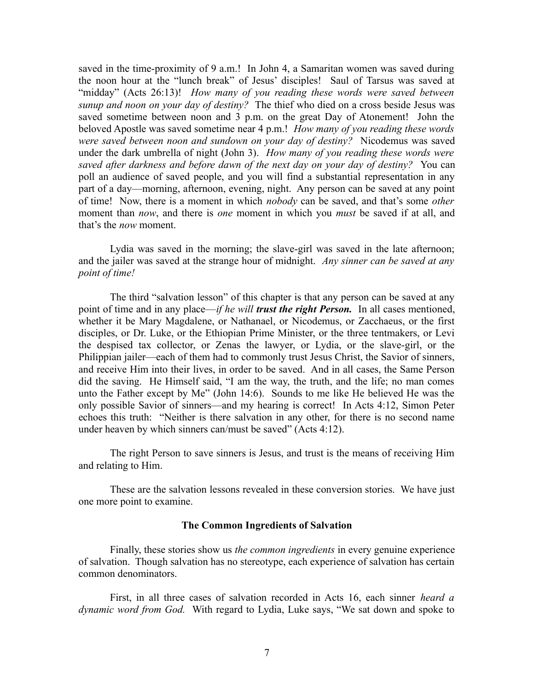saved in the time-proximity of 9 a.m.! In John 4, a Samaritan women was saved during the noon hour at the "lunch break" of Jesus' disciples! Saul of Tarsus was saved at "midday" (Acts 26:13)! *How many of you reading these words were saved between sunup and noon on your day of destiny?* The thief who died on a cross beside Jesus was saved sometime between noon and 3 p.m. on the great Day of Atonement! John the beloved Apostle was saved sometime near 4 p.m.! *How many of you reading these words were saved between noon and sundown on your day of destiny?* Nicodemus was saved under the dark umbrella of night (John 3). *How many of you reading these words were saved after darkness and before dawn of the next day on your day of destiny?* You can poll an audience of saved people, and you will find a substantial representation in any part of a day—morning, afternoon, evening, night. Any person can be saved at any point of time! Now, there is a moment in which *nobody* can be saved, and that's some *other* moment than *now*, and there is *one* moment in which you *must* be saved if at all, and that's the *now* moment.

Lydia was saved in the morning; the slave-girl was saved in the late afternoon; and the jailer was saved at the strange hour of midnight. *Any sinner can be saved at any point of time!* 

The third "salvation lesson" of this chapter is that any person can be saved at any point of time and in any place—*if he will trust the right Person.* In all cases mentioned, whether it be Mary Magdalene, or Nathanael, or Nicodemus, or Zacchaeus, or the first disciples, or Dr. Luke, or the Ethiopian Prime Minister, or the three tentmakers, or Levi the despised tax collector, or Zenas the lawyer, or Lydia, or the slave-girl, or the Philippian jailer—each of them had to commonly trust Jesus Christ, the Savior of sinners, and receive Him into their lives, in order to be saved. And in all cases, the Same Person did the saving. He Himself said, "I am the way, the truth, and the life; no man comes unto the Father except by Me" (John 14:6). Sounds to me like He believed He was the only possible Savior of sinners—and my hearing is correct! In Acts 4:12, Simon Peter echoes this truth: "Neither is there salvation in any other, for there is no second name under heaven by which sinners can/must be saved" (Acts 4:12).

The right Person to save sinners is Jesus, and trust is the means of receiving Him and relating to Him.

These are the salvation lessons revealed in these conversion stories. We have just one more point to examine.

### **The Common Ingredients of Salvation**

Finally, these stories show us *the common ingredients* in every genuine experience of salvation. Though salvation has no stereotype, each experience of salvation has certain common denominators.

First, in all three cases of salvation recorded in Acts 16, each sinner *heard a dynamic word from God.* With regard to Lydia, Luke says, "We sat down and spoke to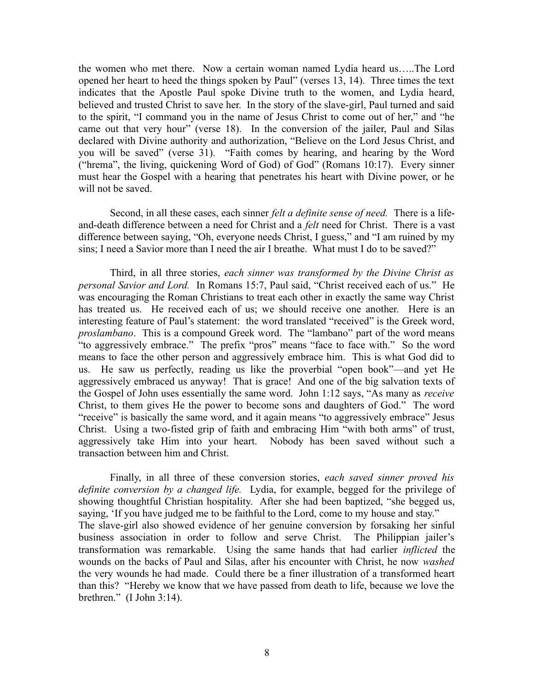the women who met there. Now a certain woman named Lydia heard us…..The Lord opened her heart to heed the things spoken by Paul" (verses 13, 14). Three times the text indicates that the Apostle Paul spoke Divine truth to the women, and Lydia heard, believed and trusted Christ to save her. In the story of the slave-girl, Paul turned and said to the spirit, "I command you in the name of Jesus Christ to come out of her," and "he came out that very hour" (verse 18). In the conversion of the jailer, Paul and Silas declared with Divine authority and authorization, "Believe on the Lord Jesus Christ, and you will be saved" (verse 31). "Faith comes by hearing, and hearing by the Word ("hrema", the living, quickening Word of God) of God" (Romans 10:17). Every sinner must hear the Gospel with a hearing that penetrates his heart with Divine power, or he will not be saved.

Second, in all these cases, each sinner *felt a definite sense of need.* There is a lifeand-death difference between a need for Christ and a *felt* need for Christ. There is a vast difference between saying, "Oh, everyone needs Christ, I guess," and "I am ruined by my sins; I need a Savior more than I need the air I breathe. What must I do to be saved?"

Third, in all three stories, *each sinner was transformed by the Divine Christ as personal Savior and Lord.* In Romans 15:7, Paul said, "Christ received each of us." He was encouraging the Roman Christians to treat each other in exactly the same way Christ has treated us. He received each of us; we should receive one another. Here is an interesting feature of Paul's statement: the word translated "received" is the Greek word, *proslambano*. This is a compound Greek word. The "lambano" part of the word means "to aggressively embrace." The prefix "pros" means "face to face with." So the word means to face the other person and aggressively embrace him. This is what God did to us. He saw us perfectly, reading us like the proverbial "open book"—and yet He aggressively embraced us anyway! That is grace! And one of the big salvation texts of the Gospel of John uses essentially the same word. John 1:12 says, "As many as *receive* Christ, to them gives He the power to become sons and daughters of God." The word "receive" is basically the same word, and it again means "to aggressively embrace" Jesus Christ. Using a two-fisted grip of faith and embracing Him "with both arms" of trust, aggressively take Him into your heart. Nobody has been saved without such a transaction between him and Christ.

Finally, in all three of these conversion stories, *each saved sinner proved his definite conversion by a changed life.* Lydia, for example, begged for the privilege of showing thoughtful Christian hospitality. After she had been baptized, "she begged us, saying, 'If you have judged me to be faithful to the Lord, come to my house and stay." The slave-girl also showed evidence of her genuine conversion by forsaking her sinful business association in order to follow and serve Christ. The Philippian jailer's transformation was remarkable. Using the same hands that had earlier *inflicted* the wounds on the backs of Paul and Silas, after his encounter with Christ, he now *washed* the very wounds he had made. Could there be a finer illustration of a transformed heart than this? "Hereby we know that we have passed from death to life, because we love the brethren." (I John 3:14).